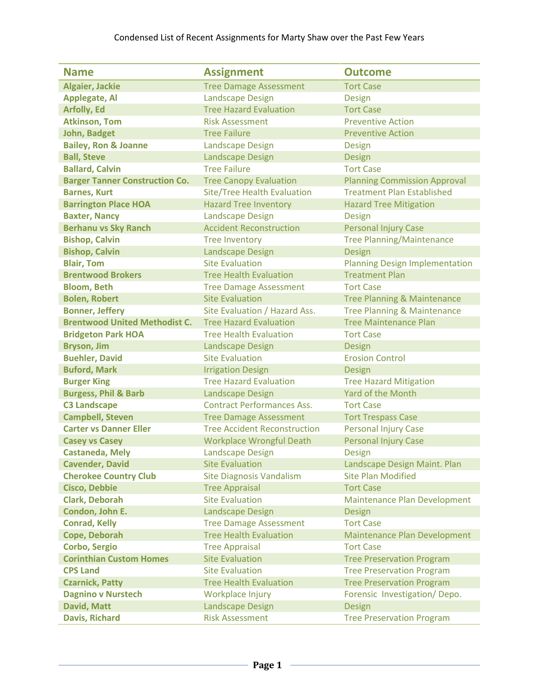| <b>Name</b>                           | <b>Assignment</b>                   | <b>Outcome</b>                         |
|---------------------------------------|-------------------------------------|----------------------------------------|
| <b>Algaier, Jackie</b>                | <b>Tree Damage Assessment</b>       | <b>Tort Case</b>                       |
| <b>Applegate, Al</b>                  | <b>Landscape Design</b>             | <b>Design</b>                          |
| <b>Arfolly, Ed</b>                    | <b>Tree Hazard Evaluation</b>       | <b>Tort Case</b>                       |
| <b>Atkinson, Tom</b>                  | <b>Risk Assessment</b>              | <b>Preventive Action</b>               |
| <b>John, Badget</b>                   | <b>Tree Failure</b>                 | <b>Preventive Action</b>               |
| <b>Bailey, Ron &amp; Joanne</b>       | <b>Landscape Design</b>             | Design                                 |
| <b>Ball, Steve</b>                    | <b>Landscape Design</b>             | <b>Design</b>                          |
| <b>Ballard, Calvin</b>                | <b>Tree Failure</b>                 | <b>Tort Case</b>                       |
| <b>Barger Tanner Construction Co.</b> | <b>Tree Canopy Evaluation</b>       | <b>Planning Commission Approval</b>    |
| <b>Barnes, Kurt</b>                   | <b>Site/Tree Health Evaluation</b>  | <b>Treatment Plan Established</b>      |
| <b>Barrington Place HOA</b>           | <b>Hazard Tree Inventory</b>        | <b>Hazard Tree Mitigation</b>          |
| <b>Baxter, Nancy</b>                  | <b>Landscape Design</b>             | <b>Design</b>                          |
| <b>Berhanu vs Sky Ranch</b>           | <b>Accident Reconstruction</b>      | <b>Personal Injury Case</b>            |
| <b>Bishop, Calvin</b>                 | <b>Tree Inventory</b>               | <b>Tree Planning/Maintenance</b>       |
| <b>Bishop, Calvin</b>                 | <b>Landscape Design</b>             | <b>Design</b>                          |
| <b>Blair, Tom</b>                     | <b>Site Evaluation</b>              | <b>Planning Design Implementation</b>  |
| <b>Brentwood Brokers</b>              | <b>Tree Health Evaluation</b>       | <b>Treatment Plan</b>                  |
| <b>Bloom, Beth</b>                    | <b>Tree Damage Assessment</b>       | <b>Tort Case</b>                       |
| <b>Bolen, Robert</b>                  | <b>Site Evaluation</b>              | <b>Tree Planning &amp; Maintenance</b> |
| <b>Bonner, Jeffery</b>                | Site Evaluation / Hazard Ass.       | <b>Tree Planning &amp; Maintenance</b> |
| <b>Brentwood United Methodist C.</b>  | <b>Tree Hazard Evaluation</b>       | <b>Tree Maintenance Plan</b>           |
| <b>Bridgeton Park HOA</b>             | <b>Tree Health Evaluation</b>       | <b>Tort Case</b>                       |
| <b>Bryson, Jim</b>                    | <b>Landscape Design</b>             | <b>Design</b>                          |
| <b>Buehler, David</b>                 | <b>Site Evaluation</b>              | <b>Erosion Control</b>                 |
| <b>Buford, Mark</b>                   | <b>Irrigation Design</b>            | <b>Design</b>                          |
| <b>Burger King</b>                    | <b>Tree Hazard Evaluation</b>       | <b>Tree Hazard Mitigation</b>          |
| <b>Burgess, Phil &amp; Barb</b>       | <b>Landscape Design</b>             | Yard of the Month                      |
| <b>C3 Landscape</b>                   | <b>Contract Performances Ass.</b>   | <b>Tort Case</b>                       |
| <b>Campbell, Steven</b>               | <b>Tree Damage Assessment</b>       | <b>Tort Trespass Case</b>              |
| <b>Carter vs Danner Eller</b>         | <b>Tree Accident Reconstruction</b> | <b>Personal Injury Case</b>            |
| <b>Casey vs Casey</b>                 | <b>Workplace Wrongful Death</b>     | <b>Personal Injury Case</b>            |
| <b>Castaneda, Mely</b>                | <b>Landscape Design</b>             | <b>Design</b>                          |
| <b>Cavender, David</b>                | <b>Site Evaluation</b>              | Landscape Design Maint. Plan           |
| <b>Cherokee Country Club</b>          | <b>Site Diagnosis Vandalism</b>     | <b>Site Plan Modified</b>              |
| <b>Cisco, Debbie</b>                  | <b>Tree Appraisal</b>               | <b>Tort Case</b>                       |
| <b>Clark, Deborah</b>                 | <b>Site Evaluation</b>              | Maintenance Plan Development           |
| Condon, John E.                       | <b>Landscape Design</b>             | <b>Design</b>                          |
| <b>Conrad, Kelly</b>                  | <b>Tree Damage Assessment</b>       | <b>Tort Case</b>                       |
| Cope, Deborah                         | <b>Tree Health Evaluation</b>       | Maintenance Plan Development           |
| <b>Corbo, Sergio</b>                  | <b>Tree Appraisal</b>               | <b>Tort Case</b>                       |
| <b>Corinthian Custom Homes</b>        | <b>Site Evaluation</b>              | <b>Tree Preservation Program</b>       |
| <b>CPS Land</b>                       | <b>Site Evaluation</b>              | <b>Tree Preservation Program</b>       |
| <b>Czarnick, Patty</b>                | <b>Tree Health Evaluation</b>       | <b>Tree Preservation Program</b>       |
| <b>Dagnino v Nurstech</b>             | Workplace Injury                    | Forensic Investigation/Depo.           |
| <b>David, Matt</b>                    | <b>Landscape Design</b>             | <b>Design</b>                          |
| <b>Davis, Richard</b>                 | <b>Risk Assessment</b>              | <b>Tree Preservation Program</b>       |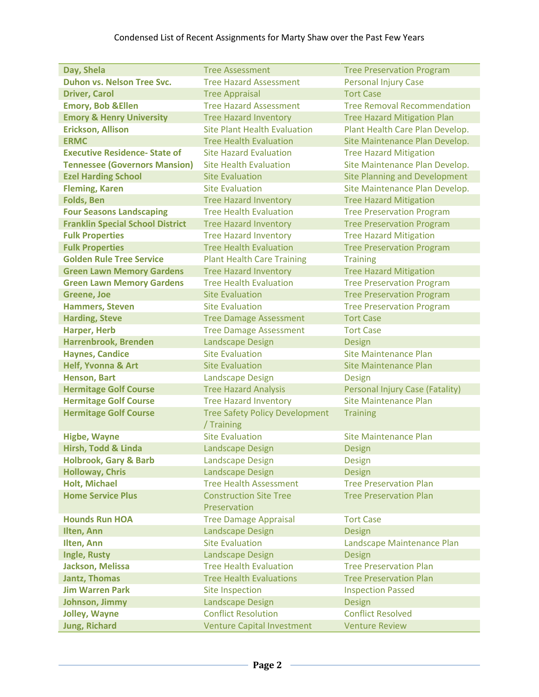| Day, Shela                              | <b>Tree Assessment</b>                              | <b>Tree Preservation Program</b>     |
|-----------------------------------------|-----------------------------------------------------|--------------------------------------|
| Duhon vs. Nelson Tree Svc.              | <b>Tree Hazard Assessment</b>                       | <b>Personal Injury Case</b>          |
| <b>Driver, Carol</b>                    | <b>Tree Appraisal</b>                               | <b>Tort Case</b>                     |
| <b>Emory, Bob &amp; Ellen</b>           | <b>Tree Hazard Assessment</b>                       | <b>Tree Removal Recommendation</b>   |
| <b>Emory &amp; Henry University</b>     | <b>Tree Hazard Inventory</b>                        | <b>Tree Hazard Mitigation Plan</b>   |
| <b>Erickson, Allison</b>                | <b>Site Plant Health Evaluation</b>                 | Plant Health Care Plan Develop.      |
| <b>ERMC</b>                             | <b>Tree Health Evaluation</b>                       | Site Maintenance Plan Develop.       |
| <b>Executive Residence- State of</b>    | <b>Site Hazard Evaluation</b>                       | <b>Tree Hazard Mitigation</b>        |
| <b>Tennessee (Governors Mansion)</b>    | <b>Site Health Evaluation</b>                       | Site Maintenance Plan Develop.       |
| <b>Ezel Harding School</b>              | <b>Site Evaluation</b>                              | <b>Site Planning and Development</b> |
| <b>Fleming, Karen</b>                   | <b>Site Evaluation</b>                              | Site Maintenance Plan Develop.       |
| <b>Folds, Ben</b>                       | <b>Tree Hazard Inventory</b>                        | <b>Tree Hazard Mitigation</b>        |
| <b>Four Seasons Landscaping</b>         | <b>Tree Health Evaluation</b>                       | <b>Tree Preservation Program</b>     |
| <b>Franklin Special School District</b> | <b>Tree Hazard Inventory</b>                        | <b>Tree Preservation Program</b>     |
| <b>Fulk Properties</b>                  | <b>Tree Hazard Inventory</b>                        | <b>Tree Hazard Mitigation</b>        |
| <b>Fulk Properties</b>                  | <b>Tree Health Evaluation</b>                       | <b>Tree Preservation Program</b>     |
| <b>Golden Rule Tree Service</b>         | <b>Plant Health Care Training</b>                   | <b>Training</b>                      |
|                                         | <b>Tree Hazard Inventory</b>                        | <b>Tree Hazard Mitigation</b>        |
| <b>Green Lawn Memory Gardens</b>        | <b>Tree Health Evaluation</b>                       |                                      |
| <b>Green Lawn Memory Gardens</b>        | <b>Site Evaluation</b>                              | <b>Tree Preservation Program</b>     |
| <b>Greene, Joe</b>                      |                                                     | <b>Tree Preservation Program</b>     |
| <b>Hammers, Steven</b>                  | <b>Site Evaluation</b>                              | <b>Tree Preservation Program</b>     |
| <b>Harding, Steve</b>                   | <b>Tree Damage Assessment</b>                       | <b>Tort Case</b>                     |
| <b>Harper, Herb</b>                     | <b>Tree Damage Assessment</b>                       | <b>Tort Case</b>                     |
| Harrenbrook, Brenden                    | <b>Landscape Design</b>                             | <b>Design</b>                        |
| <b>Haynes, Candice</b>                  | <b>Site Evaluation</b>                              | Site Maintenance Plan                |
| <b>Helf, Yvonna &amp; Art</b>           | <b>Site Evaluation</b>                              | <b>Site Maintenance Plan</b>         |
| <b>Henson, Bart</b>                     | <b>Landscape Design</b>                             | Design                               |
| <b>Hermitage Golf Course</b>            | <b>Tree Hazard Analysis</b>                         | Personal Injury Case (Fatality)      |
| <b>Hermitage Golf Course</b>            | <b>Tree Hazard Inventory</b>                        | <b>Site Maintenance Plan</b>         |
| <b>Hermitage Golf Course</b>            | <b>Tree Safety Policy Development</b><br>/ Training | <b>Training</b>                      |
| <b>Higbe, Wayne</b>                     | <b>Site Evaluation</b>                              | Site Maintenance Plan                |
| Hirsh, Todd & Linda                     | <b>Landscape Design</b>                             | <b>Design</b>                        |
| <b>Holbrook, Gary &amp; Barb</b>        | <b>Landscape Design</b>                             | <b>Design</b>                        |
| <b>Holloway, Chris</b>                  | <b>Landscape Design</b>                             | Design                               |
| <b>Holt, Michael</b>                    | <b>Tree Health Assessment</b>                       | <b>Tree Preservation Plan</b>        |
| <b>Home Service Plus</b>                | <b>Construction Site Tree</b>                       | <b>Tree Preservation Plan</b>        |
|                                         | Preservation                                        |                                      |
| <b>Hounds Run HOA</b>                   | <b>Tree Damage Appraisal</b>                        | <b>Tort Case</b>                     |
| Ilten, Ann                              | <b>Landscape Design</b>                             | Design                               |
| Ilten, Ann                              | <b>Site Evaluation</b>                              | Landscape Maintenance Plan           |
| Ingle, Rusty                            | <b>Landscape Design</b>                             | <b>Design</b>                        |
| Jackson, Melissa                        | <b>Tree Health Evaluation</b>                       | <b>Tree Preservation Plan</b>        |
| <b>Jantz, Thomas</b>                    | <b>Tree Health Evaluations</b>                      | <b>Tree Preservation Plan</b>        |
| <b>Jim Warren Park</b>                  | <b>Site Inspection</b>                              | <b>Inspection Passed</b>             |
| Johnson, Jimmy                          | <b>Landscape Design</b>                             | <b>Design</b>                        |
| Jolley, Wayne                           | <b>Conflict Resolution</b>                          | <b>Conflict Resolved</b>             |
| <b>Jung, Richard</b>                    | <b>Venture Capital Investment</b>                   | <b>Venture Review</b>                |
|                                         |                                                     |                                      |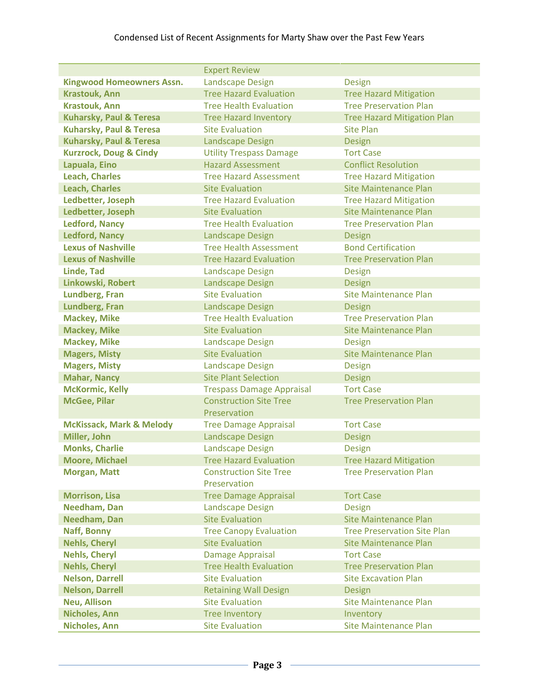## Condensed List of Recent Assignments for Marty Shaw over the Past Few Years

|                                     | <b>Expert Review</b>                          |                                    |
|-------------------------------------|-----------------------------------------------|------------------------------------|
| <b>Kingwood Homeowners Assn.</b>    | <b>Landscape Design</b>                       | <b>Design</b>                      |
| <b>Krastouk, Ann</b>                | <b>Tree Hazard Evaluation</b>                 | <b>Tree Hazard Mitigation</b>      |
| <b>Krastouk, Ann</b>                | <b>Tree Health Evaluation</b>                 | <b>Tree Preservation Plan</b>      |
| <b>Kuharsky, Paul &amp; Teresa</b>  | <b>Tree Hazard Inventory</b>                  | <b>Tree Hazard Mitigation Plan</b> |
| <b>Kuharsky, Paul &amp; Teresa</b>  | <b>Site Evaluation</b>                        | <b>Site Plan</b>                   |
| Kuharsky, Paul & Teresa             | <b>Landscape Design</b>                       | <b>Design</b>                      |
| <b>Kurzrock, Doug &amp; Cindy</b>   | <b>Utility Trespass Damage</b>                | <b>Tort Case</b>                   |
| Lapuala, Eino                       | <b>Hazard Assessment</b>                      | <b>Conflict Resolution</b>         |
| <b>Leach, Charles</b>               | <b>Tree Hazard Assessment</b>                 | <b>Tree Hazard Mitigation</b>      |
| <b>Leach, Charles</b>               | <b>Site Evaluation</b>                        | Site Maintenance Plan              |
| Ledbetter, Joseph                   | <b>Tree Hazard Evaluation</b>                 | <b>Tree Hazard Mitigation</b>      |
| Ledbetter, Joseph                   | <b>Site Evaluation</b>                        | Site Maintenance Plan              |
| <b>Ledford, Nancy</b>               | <b>Tree Health Evaluation</b>                 | <b>Tree Preservation Plan</b>      |
| <b>Ledford, Nancy</b>               | Landscape Design                              | <b>Design</b>                      |
| <b>Lexus of Nashville</b>           | <b>Tree Health Assessment</b>                 | <b>Bond Certification</b>          |
| <b>Lexus of Nashville</b>           | <b>Tree Hazard Evaluation</b>                 | <b>Tree Preservation Plan</b>      |
| <b>Linde, Tad</b>                   | <b>Landscape Design</b>                       | <b>Design</b>                      |
| Linkowski, Robert                   | <b>Landscape Design</b>                       | <b>Design</b>                      |
| <b>Lundberg, Fran</b>               | <b>Site Evaluation</b>                        | <b>Site Maintenance Plan</b>       |
| Lundberg, Fran                      | <b>Landscape Design</b>                       | <b>Design</b>                      |
| <b>Mackey, Mike</b>                 | <b>Tree Health Evaluation</b>                 | <b>Tree Preservation Plan</b>      |
| <b>Mackey, Mike</b>                 | <b>Site Evaluation</b>                        | Site Maintenance Plan              |
| <b>Mackey, Mike</b>                 | <b>Landscape Design</b>                       | <b>Design</b>                      |
| <b>Magers, Misty</b>                | <b>Site Evaluation</b>                        | <b>Site Maintenance Plan</b>       |
| <b>Magers, Misty</b>                | <b>Landscape Design</b>                       | <b>Design</b>                      |
| <b>Mahar, Nancy</b>                 | <b>Site Plant Selection</b>                   | <b>Design</b>                      |
| <b>McKormic, Kelly</b>              | <b>Trespass Damage Appraisal</b>              | <b>Tort Case</b>                   |
| <b>McGee, Pilar</b>                 | <b>Construction Site Tree</b><br>Preservation | <b>Tree Preservation Plan</b>      |
| <b>McKissack, Mark &amp; Melody</b> | <b>Tree Damage Appraisal</b>                  | <b>Tort Case</b>                   |
| Miller, John                        | <b>Landscape Design</b>                       | Design                             |
| <b>Monks, Charlie</b>               | <b>Landscape Design</b>                       | <b>Design</b>                      |
| <b>Moore, Michael</b>               | <b>Tree Hazard Evaluation</b>                 | <b>Tree Hazard Mitigation</b>      |
| <b>Morgan, Matt</b>                 | <b>Construction Site Tree</b><br>Preservation | <b>Tree Preservation Plan</b>      |
| <b>Morrison, Lisa</b>               | <b>Tree Damage Appraisal</b>                  | <b>Tort Case</b>                   |
| Needham, Dan                        | <b>Landscape Design</b>                       | Design                             |
| <b>Needham, Dan</b>                 | <b>Site Evaluation</b>                        | <b>Site Maintenance Plan</b>       |
| Naff, Bonny                         | <b>Tree Canopy Evaluation</b>                 | <b>Tree Preservation Site Plan</b> |
| <b>Nehls, Cheryl</b>                | <b>Site Evaluation</b>                        | <b>Site Maintenance Plan</b>       |
| <b>Nehls, Cheryl</b>                | Damage Appraisal                              | <b>Tort Case</b>                   |
| <b>Nehls, Cheryl</b>                | <b>Tree Health Evaluation</b>                 | <b>Tree Preservation Plan</b>      |
| <b>Nelson, Darrell</b>              | <b>Site Evaluation</b>                        | <b>Site Excavation Plan</b>        |
| <b>Nelson, Darrell</b>              | <b>Retaining Wall Design</b>                  | <b>Design</b>                      |
| <b>Neu, Allison</b>                 | <b>Site Evaluation</b>                        | <b>Site Maintenance Plan</b>       |
| <b>Nicholes, Ann</b>                | <b>Tree Inventory</b>                         | Inventory                          |
| <b>Nicholes, Ann</b>                | <b>Site Evaluation</b>                        | <b>Site Maintenance Plan</b>       |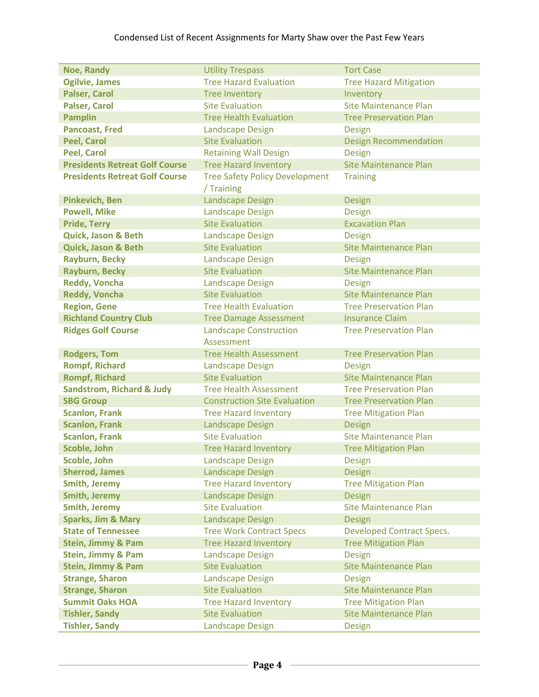## Condensed List of Recent Assignments for Marty Shaw over the Past Few Years

|                                       |                                       | <b>Tort Case</b>                              |
|---------------------------------------|---------------------------------------|-----------------------------------------------|
| <b>Noe, Randy</b>                     | <b>Utility Trespass</b>               |                                               |
| <b>Ogilvie, James</b>                 | <b>Tree Hazard Evaluation</b>         | <b>Tree Hazard Mitigation</b>                 |
| <b>Palser, Carol</b>                  | <b>Tree Inventory</b>                 | Inventory                                     |
| <b>Palser, Carol</b>                  | <b>Site Evaluation</b>                | <b>Site Maintenance Plan</b>                  |
| <b>Pamplin</b>                        | <b>Tree Health Evaluation</b>         | <b>Tree Preservation Plan</b>                 |
| <b>Pancoast, Fred</b>                 | <b>Landscape Design</b>               | <b>Design</b>                                 |
| <b>Peel, Carol</b>                    | <b>Site Evaluation</b>                | <b>Design Recommendation</b>                  |
| <b>Peel, Carol</b>                    | <b>Retaining Wall Design</b>          | <b>Design</b>                                 |
| <b>Presidents Retreat Golf Course</b> | <b>Tree Hazard Inventory</b>          | <b>Site Maintenance Plan</b>                  |
| <b>Presidents Retreat Golf Course</b> | <b>Tree Safety Policy Development</b> | <b>Training</b>                               |
|                                       | / Training                            |                                               |
| <b>Pinkevich, Ben</b>                 | <b>Landscape Design</b>               | <b>Design</b>                                 |
| <b>Powell, Mike</b>                   | <b>Landscape Design</b>               | <b>Design</b>                                 |
| <b>Pride, Terry</b>                   | <b>Site Evaluation</b>                | <b>Excavation Plan</b>                        |
| Quick, Jason & Beth                   | <b>Landscape Design</b>               | <b>Design</b>                                 |
| <b>Quick, Jason &amp; Beth</b>        | <b>Site Evaluation</b>                | <b>Site Maintenance Plan</b>                  |
| <b>Rayburn, Becky</b>                 | <b>Landscape Design</b>               |                                               |
|                                       | <b>Site Evaluation</b>                | <b>Design</b><br><b>Site Maintenance Plan</b> |
| <b>Rayburn, Becky</b>                 |                                       |                                               |
| <b>Reddy, Voncha</b>                  | <b>Landscape Design</b>               | <b>Design</b>                                 |
| <b>Reddy, Voncha</b>                  | <b>Site Evaluation</b>                | <b>Site Maintenance Plan</b>                  |
| <b>Region, Gene</b>                   | <b>Tree Health Evaluation</b>         | <b>Tree Preservation Plan</b>                 |
| <b>Richland Country Club</b>          | <b>Tree Damage Assessment</b>         | <b>Insurance Claim</b>                        |
| <b>Ridges Golf Course</b>             | <b>Landscape Construction</b>         | <b>Tree Preservation Plan</b>                 |
|                                       | Assessment                            |                                               |
| <b>Rodgers, Tom</b>                   | <b>Tree Health Assessment</b>         | <b>Tree Preservation Plan</b>                 |
| <b>Rompf, Richard</b>                 | <b>Landscape Design</b>               | <b>Design</b>                                 |
| <b>Rompf, Richard</b>                 | <b>Site Evaluation</b>                | <b>Site Maintenance Plan</b>                  |
| <b>Sandstrom, Richard &amp; Judy</b>  | <b>Tree Health Assessment</b>         | <b>Tree Preservation Plan</b>                 |
| <b>SBG Group</b>                      | <b>Construction Site Evaluation</b>   | <b>Tree Preservation Plan</b>                 |
| <b>Scanlon, Frank</b>                 | <b>Tree Hazard Inventory</b>          | <b>Tree Mitigation Plan</b>                   |
| <b>Scanlon, Frank</b>                 | <b>Landscape Design</b>               | <b>Design</b>                                 |
| <b>Scanlon, Frank</b>                 | <b>Site Evaluation</b>                | <b>Site Maintenance Plan</b>                  |
| Scoble, John                          | <b>Tree Hazard Inventory</b>          | <b>Tree Mitigation Plan</b>                   |
| Scoble, John                          | <b>Landscape Design</b>               | <b>Design</b>                                 |
| <b>Sherrod, James</b>                 | <b>Landscape Design</b>               | <b>Design</b>                                 |
| <b>Smith, Jeremy</b>                  | <b>Tree Hazard Inventory</b>          | <b>Tree Mitigation Plan</b>                   |
| <b>Smith, Jeremy</b>                  | <b>Landscape Design</b>               | <b>Design</b>                                 |
| <b>Smith, Jeremy</b>                  | <b>Site Evaluation</b>                | <b>Site Maintenance Plan</b>                  |
| <b>Sparks, Jim &amp; Mary</b>         | <b>Landscape Design</b>               | <b>Design</b>                                 |
| <b>State of Tennessee</b>             | <b>Tree Work Contract Specs</b>       | <b>Developed Contract Specs.</b>              |
| <b>Stein, Jimmy &amp; Pam</b>         | <b>Tree Hazard Inventory</b>          | <b>Tree Mitigation Plan</b>                   |
| Stein, Jimmy & Pam                    | <b>Landscape Design</b>               | <b>Design</b>                                 |
|                                       | <b>Site Evaluation</b>                | <b>Site Maintenance Plan</b>                  |
| <b>Stein, Jimmy &amp; Pam</b>         |                                       |                                               |
| <b>Strange, Sharon</b>                | <b>Landscape Design</b>               | Design                                        |
| <b>Strange, Sharon</b>                | <b>Site Evaluation</b>                | <b>Site Maintenance Plan</b>                  |
| <b>Summit Oaks HOA</b>                | <b>Tree Hazard Inventory</b>          | <b>Tree Mitigation Plan</b>                   |
| <b>Tishler, Sandy</b>                 | <b>Site Evaluation</b>                | <b>Site Maintenance Plan</b>                  |
| <b>Tishler, Sandy</b>                 | <b>Landscape Design</b>               | <b>Design</b>                                 |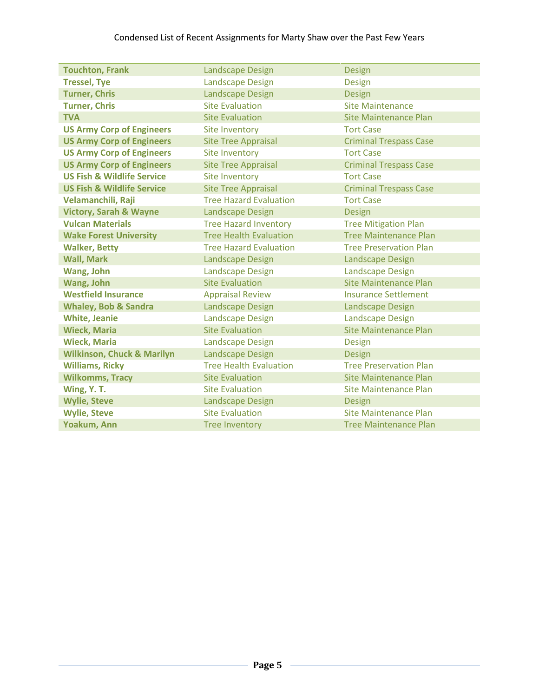| <b>Touchton, Frank</b>                | <b>Landscape Design</b>       | Design                        |
|---------------------------------------|-------------------------------|-------------------------------|
| <b>Tressel, Tye</b>                   | <b>Landscape Design</b>       | <b>Design</b>                 |
| <b>Turner, Chris</b>                  | <b>Landscape Design</b>       | Design                        |
| <b>Turner, Chris</b>                  | <b>Site Evaluation</b>        | Site Maintenance              |
| <b>TVA</b>                            | <b>Site Evaluation</b>        | <b>Site Maintenance Plan</b>  |
| <b>US Army Corp of Engineers</b>      | Site Inventory                | <b>Tort Case</b>              |
| <b>US Army Corp of Engineers</b>      | <b>Site Tree Appraisal</b>    | <b>Criminal Trespass Case</b> |
| <b>US Army Corp of Engineers</b>      | <b>Site Inventory</b>         | <b>Tort Case</b>              |
| <b>US Army Corp of Engineers</b>      | <b>Site Tree Appraisal</b>    | <b>Criminal Trespass Case</b> |
| <b>US Fish &amp; Wildlife Service</b> | Site Inventory                | <b>Tort Case</b>              |
| <b>US Fish &amp; Wildlife Service</b> | <b>Site Tree Appraisal</b>    | <b>Criminal Trespass Case</b> |
| Velamanchili, Raji                    | <b>Tree Hazard Evaluation</b> | <b>Tort Case</b>              |
| <b>Victory, Sarah &amp; Wayne</b>     | <b>Landscape Design</b>       | Design                        |
| <b>Vulcan Materials</b>               | <b>Tree Hazard Inventory</b>  | <b>Tree Mitigation Plan</b>   |
| <b>Wake Forest University</b>         | <b>Tree Health Evaluation</b> | <b>Tree Maintenance Plan</b>  |
| <b>Walker, Betty</b>                  | <b>Tree Hazard Evaluation</b> | <b>Tree Preservation Plan</b> |
| <b>Wall, Mark</b>                     | <b>Landscape Design</b>       | <b>Landscape Design</b>       |
| Wang, John                            | <b>Landscape Design</b>       | <b>Landscape Design</b>       |
| Wang, John                            | <b>Site Evaluation</b>        | Site Maintenance Plan         |
| <b>Westfield Insurance</b>            | <b>Appraisal Review</b>       | <b>Insurance Settlement</b>   |
| <b>Whaley, Bob &amp; Sandra</b>       | Landscape Design              | <b>Landscape Design</b>       |
| <b>White, Jeanie</b>                  | <b>Landscape Design</b>       | <b>Landscape Design</b>       |
| <b>Wieck, Maria</b>                   | <b>Site Evaluation</b>        | <b>Site Maintenance Plan</b>  |
| <b>Wieck, Maria</b>                   | <b>Landscape Design</b>       | <b>Design</b>                 |
| <b>Wilkinson, Chuck &amp; Marilyn</b> | <b>Landscape Design</b>       | <b>Design</b>                 |
| <b>Williams, Ricky</b>                | <b>Tree Health Evaluation</b> | <b>Tree Preservation Plan</b> |
| <b>Wilkomms, Tracy</b>                | <b>Site Evaluation</b>        | <b>Site Maintenance Plan</b>  |
| Wing, Y. T.                           | <b>Site Evaluation</b>        | <b>Site Maintenance Plan</b>  |
| <b>Wylie, Steve</b>                   | <b>Landscape Design</b>       | <b>Design</b>                 |
| <b>Wylie, Steve</b>                   | <b>Site Evaluation</b>        | <b>Site Maintenance Plan</b>  |
| Yoakum, Ann                           | <b>Tree Inventory</b>         | <b>Tree Maintenance Plan</b>  |